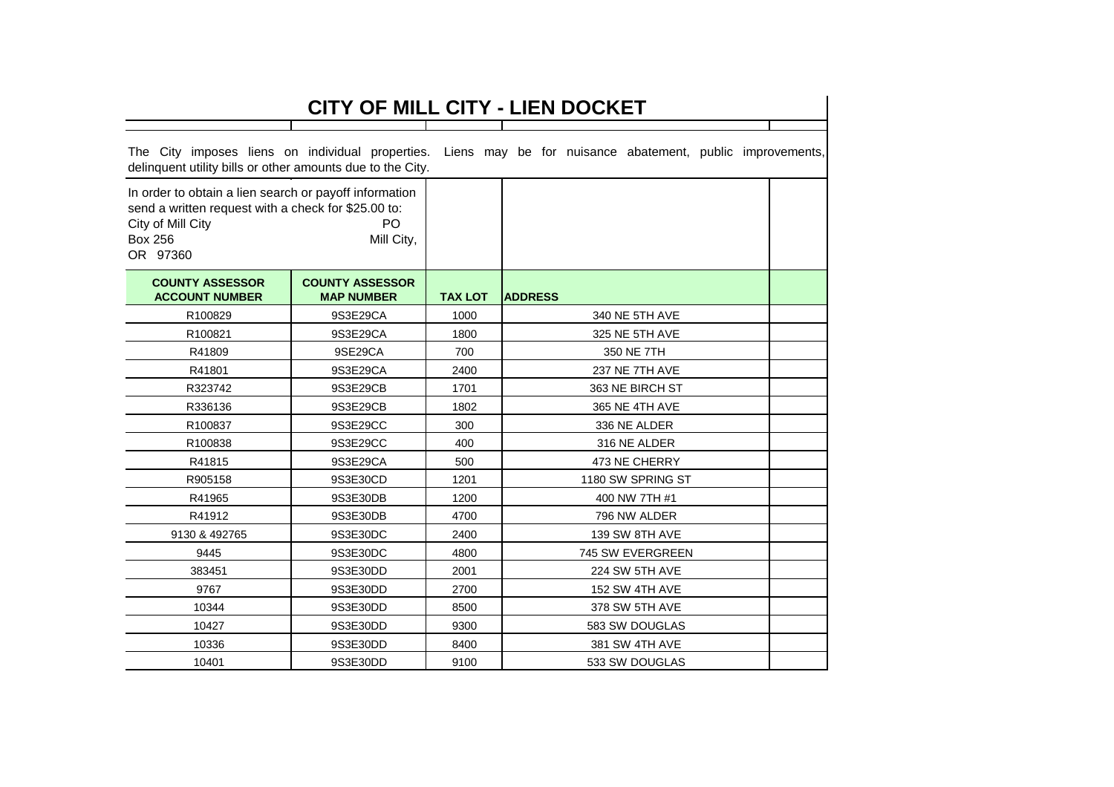| CITY OF MILL CITY - LIEN DOCKET                                                                                                                                                      |                                             |                |                                                           |  |  |  |  |
|--------------------------------------------------------------------------------------------------------------------------------------------------------------------------------------|---------------------------------------------|----------------|-----------------------------------------------------------|--|--|--|--|
|                                                                                                                                                                                      |                                             |                |                                                           |  |  |  |  |
| The City imposes liens on individual properties.<br>delinquent utility bills or other amounts due to the City.                                                                       |                                             |                | Liens may be for nuisance abatement, public improvements, |  |  |  |  |
| In order to obtain a lien search or payoff information<br>send a written request with a check for \$25.00 to:<br>PO<br>City of Mill City<br><b>Box 256</b><br>Mill City,<br>OR 97360 |                                             |                |                                                           |  |  |  |  |
| <b>COUNTY ASSESSOR</b><br><b>ACCOUNT NUMBER</b>                                                                                                                                      | <b>COUNTY ASSESSOR</b><br><b>MAP NUMBER</b> | <b>TAX LOT</b> | <b>ADDRESS</b>                                            |  |  |  |  |
| R100829                                                                                                                                                                              | 9S3E29CA                                    | 1000           | 340 NE 5TH AVE                                            |  |  |  |  |
| R100821                                                                                                                                                                              | 9S3E29CA                                    | 1800           | 325 NE 5TH AVE                                            |  |  |  |  |
| R41809                                                                                                                                                                               | 9SE29CA                                     | 700            | 350 NE 7TH                                                |  |  |  |  |
| R41801                                                                                                                                                                               | 9S3E29CA                                    | 2400           | 237 NE 7TH AVE                                            |  |  |  |  |
| R323742                                                                                                                                                                              | 9S3E29CB                                    | 1701           | 363 NE BIRCH ST                                           |  |  |  |  |
| R336136                                                                                                                                                                              | 9S3E29CB                                    | 1802           | 365 NE 4TH AVE                                            |  |  |  |  |
| R100837                                                                                                                                                                              | 9S3E29CC                                    | 300            | 336 NE ALDER                                              |  |  |  |  |
| R100838                                                                                                                                                                              | 9S3E29CC                                    | 400            | 316 NE ALDER                                              |  |  |  |  |
| R41815                                                                                                                                                                               | 9S3E29CA                                    | 500            | 473 NE CHERRY                                             |  |  |  |  |
| R905158                                                                                                                                                                              | 9S3E30CD                                    | 1201           | 1180 SW SPRING ST                                         |  |  |  |  |
| R41965                                                                                                                                                                               | 9S3E30DB                                    | 1200           | 400 NW 7TH #1                                             |  |  |  |  |
| R41912                                                                                                                                                                               | 9S3E30DB                                    | 4700           | 796 NW ALDER                                              |  |  |  |  |
| 9130 & 492765                                                                                                                                                                        | 9S3E30DC                                    | 2400           | 139 SW 8TH AVE                                            |  |  |  |  |
| 9445                                                                                                                                                                                 | 9S3E30DC                                    | 4800           | 745 SW EVERGREEN                                          |  |  |  |  |
| 383451                                                                                                                                                                               | 9S3E30DD                                    | 2001           | 224 SW 5TH AVE                                            |  |  |  |  |
| 9767                                                                                                                                                                                 | 9S3E30DD                                    | 2700           | 152 SW 4TH AVE                                            |  |  |  |  |
| 10344                                                                                                                                                                                | 9S3E30DD                                    | 8500           | 378 SW 5TH AVE                                            |  |  |  |  |
| 10427                                                                                                                                                                                | 9S3E30DD                                    | 9300           | 583 SW DOUGLAS                                            |  |  |  |  |
| 10336                                                                                                                                                                                | 9S3E30DD                                    | 8400           | 381 SW 4TH AVE                                            |  |  |  |  |
| 10401                                                                                                                                                                                | 9S3E30DD                                    | 9100           | 533 SW DOUGLAS                                            |  |  |  |  |